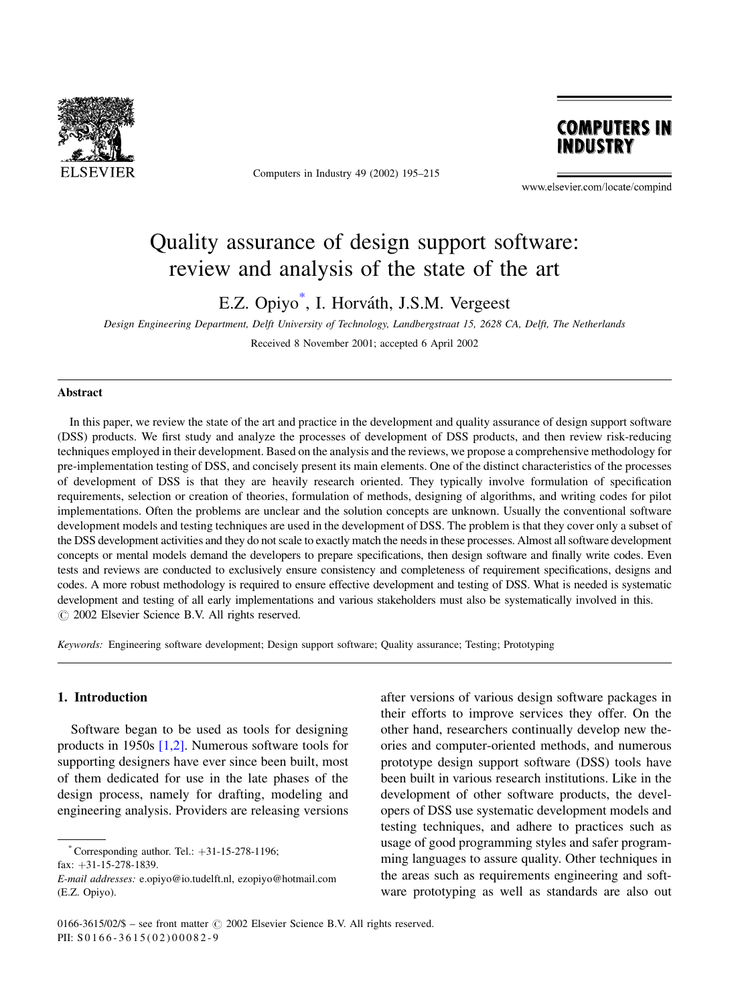

Computers in Industry 49 (2002) 195–215



www.elsevier.com/locate/compind

# Quality assurance of design support software: review and analysis of the state of the art

E.Z. Opiyo<sup>\*</sup>, I. Horváth, J.S.M. Vergeest

Design Engineering Department, Delft University of Technology, Landbergstraat 15, 2628 CA, Delft, The Netherlands

Received 8 November 2001; accepted 6 April 2002

#### Abstract

In this paper, we review the state of the art and practice in the development and quality assurance of design support software (DSS) products. We first study and analyze the processes of development of DSS products, and then review risk-reducing techniques employed in their development. Based on the analysis and the reviews, we propose a comprehensive methodology for pre-implementation testing of DSS, and concisely present its main elements. One of the distinct characteristics of the processes of development of DSS is that they are heavily research oriented. They typically involve formulation of specification requirements, selection or creation of theories, formulation of methods, designing of algorithms, and writing codes for pilot implementations. Often the problems are unclear and the solution concepts are unknown. Usually the conventional software development models and testing techniques are used in the development of DSS. The problem is that they cover only a subset of the DSS development activities and they do not scale to exactly match the needs in these processes. Almost all software development concepts or mental models demand the developers to prepare specifications, then design software and finally write codes. Even tests and reviews are conducted to exclusively ensure consistency and completeness of requirement specifications, designs and codes. A more robust methodology is required to ensure effective development and testing of DSS. What is needed is systematic development and testing of all early implementations and various stakeholders must also be systematically involved in this.  $\odot$  2002 Elsevier Science B.V. All rights reserved.

Keywords: Engineering software development; Design support software; Quality assurance; Testing; Prototyping

### 1. Introduction

Software began to be used as tools for designing products in 1950s [\[1,2\]](#page--1-0). Numerous software tools for supporting designers have ever since been built, most of them dedicated for use in the late phases of the design process, namely for drafting, modeling and engineering analysis. Providers are releasing versions

fax: +31-15-278-1839.

after versions of various design software packages in their efforts to improve services they offer. On the other hand, researchers continually develop new theories and computer-oriented methods, and numerous prototype design support software (DSS) tools have been built in various research institutions. Like in the development of other software products, the developers of DSS use systematic development models and testing techniques, and adhere to practices such as usage of good programming styles and safer programming languages to assure quality. Other techniques in the areas such as requirements engineering and software prototyping as well as standards are also out

<sup>\*</sup> Corresponding author. Tel.:  $+31-15-278-1196$ ;

E-mail addresses: e.opiyo@io.tudelft.nl, ezopiyo@hotmail.com (E.Z. Opiyo).

<sup>0166-3615/02/\$ –</sup> see front matter  $\odot$  2002 Elsevier Science B.V. All rights reserved. PII: S 0166-3615(02)00082-9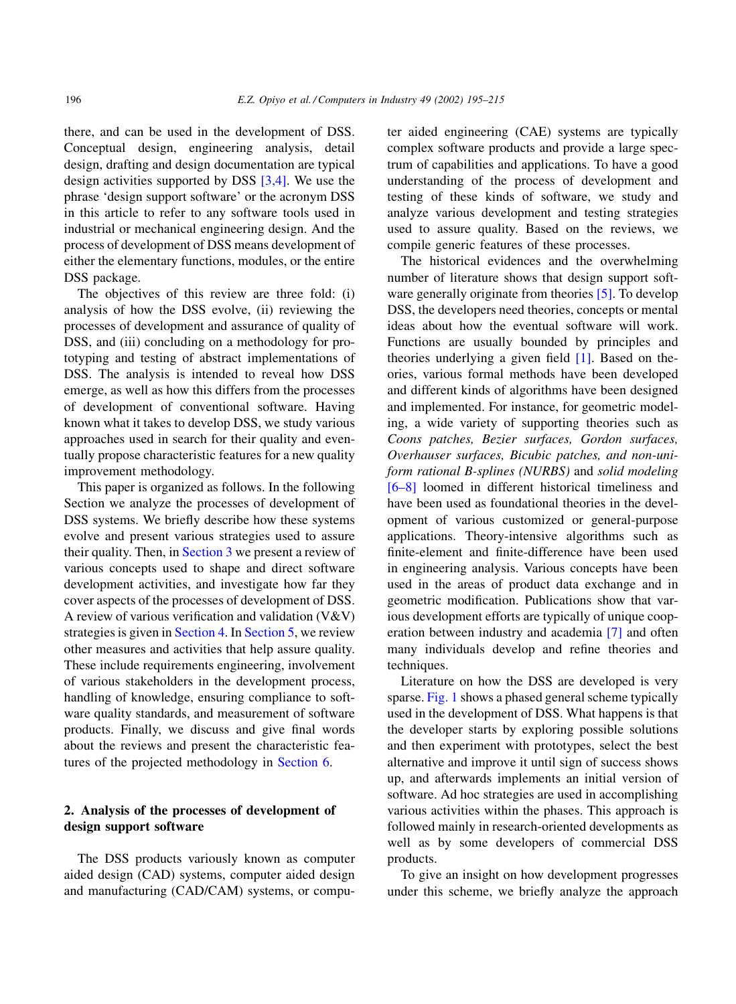there, and can be used in the development of DSS. Conceptual design, engineering analysis, detail design, drafting and design documentation are typical design activities supported by DSS [\[3,4\].](#page--1-0) We use the phrase 'design support software' or the acronym DSS in this article to refer to any software tools used in industrial or mechanical engineering design. And the process of development of DSS means development of either the elementary functions, modules, or the entire DSS package.

The objectives of this review are three fold: (i) analysis of how the DSS evolve, (ii) reviewing the processes of development and assurance of quality of DSS, and (iii) concluding on a methodology for prototyping and testing of abstract implementations of DSS. The analysis is intended to reveal how DSS emerge, as well as how this differs from the processes of development of conventional software. Having known what it takes to develop DSS, we study various approaches used in search for their quality and eventually propose characteristic features for a new quality improvement methodology.

This paper is organized as follows. In the following Section we analyze the processes of development of DSS systems. We briefly describe how these systems evolve and present various strategies used to assure their quality. Then, in [Section 3](#page--1-0) we present a review of various concepts used to shape and direct software development activities, and investigate how far they cover aspects of the processes of development of DSS. A review of various verification and validation (V&V) strategies is given in [Section 4](#page--1-0). In [Section 5,](#page--1-0) we review other measures and activities that help assure quality. These include requirements engineering, involvement of various stakeholders in the development process, handling of knowledge, ensuring compliance to software quality standards, and measurement of software products. Finally, we discuss and give final words about the reviews and present the characteristic features of the projected methodology in [Section 6.](#page--1-0)

### 2. Analysis of the processes of development of design support software

The DSS products variously known as computer aided design (CAD) systems, computer aided design and manufacturing (CAD/CAM) systems, or computer aided engineering (CAE) systems are typically complex software products and provide a large spectrum of capabilities and applications. To have a good understanding of the process of development and testing of these kinds of software, we study and analyze various development and testing strategies used to assure quality. Based on the reviews, we compile generic features of these processes.

The historical evidences and the overwhelming number of literature shows that design support software generally originate from theories [\[5\].](#page--1-0) To develop DSS, the developers need theories, concepts or mental ideas about how the eventual software will work. Functions are usually bounded by principles and theories underlying a given field [\[1\]](#page--1-0). Based on theories, various formal methods have been developed and different kinds of algorithms have been designed and implemented. For instance, for geometric modeling, a wide variety of supporting theories such as Coons patches, Bezier surfaces, Gordon surfaces, Overhauser surfaces, Bicubic patches, and non-uniform rational B-splines (NURBS) and solid modeling [\[6–8\]](#page--1-0) loomed in different historical timeliness and have been used as foundational theories in the development of various customized or general-purpose applications. Theory-intensive algorithms such as finite-element and finite-difference have been used in engineering analysis. Various concepts have been used in the areas of product data exchange and in geometric modification. Publications show that various development efforts are typically of unique cooperation between industry and academia [\[7\]](#page--1-0) and often many individuals develop and refine theories and techniques.

Literature on how the DSS are developed is very sparse. [Fig. 1](#page--1-0) shows a phased general scheme typically used in the development of DSS. What happens is that the developer starts by exploring possible solutions and then experiment with prototypes, select the best alternative and improve it until sign of success shows up, and afterwards implements an initial version of software. Ad hoc strategies are used in accomplishing various activities within the phases. This approach is followed mainly in research-oriented developments as well as by some developers of commercial DSS products.

To give an insight on how development progresses under this scheme, we briefly analyze the approach